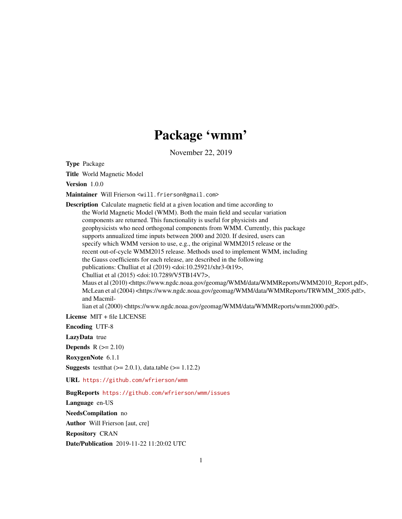# Package 'wmm'

November 22, 2019

Type Package

Title World Magnetic Model

Version 1.0.0

Maintainer Will Frierson <will.frierson@gmail.com>

Description Calculate magnetic field at a given location and time according to the World Magnetic Model (WMM). Both the main field and secular variation components are returned. This functionality is useful for physicists and geophysicists who need orthogonal components from WMM. Currently, this package supports annualized time inputs between 2000 and 2020. If desired, users can specify which WMM version to use, e.g., the original WMM2015 release or the recent out-of-cycle WMM2015 release. Methods used to implement WMM, including the Gauss coefficients for each release, are described in the following publications: Chulliat et al (2019) <doi:10.25921/xhr3-0t19>, Chulliat et al (2015) <doi:10.7289/V5TB14V7>, Maus et al (2010) <https://www.ngdc.noaa.gov/geomag/WMM/data/WMMReports/WMM2010\_Report.pdf>, McLean et al (2004) <https://www.ngdc.noaa.gov/geomag/WMM/data/WMMReports/TRWMM\_2005.pdf>, and Macmillian et al (2000) <https://www.ngdc.noaa.gov/geomag/WMM/data/WMMReports/wmm2000.pdf>.

License MIT + file LICENSE

Encoding UTF-8

LazyData true

**Depends**  $R$  ( $>= 2.10$ )

RoxygenNote 6.1.1

**Suggests** test that  $(>= 2.0.1)$ , data.table  $(>= 1.12.2)$ 

URL <https://github.com/wfrierson/wmm>

BugReports <https://github.com/wfrierson/wmm/issues>

Language en-US NeedsCompilation no

Author Will Frierson [aut, cre]

Repository CRAN

Date/Publication 2019-11-22 11:20:02 UTC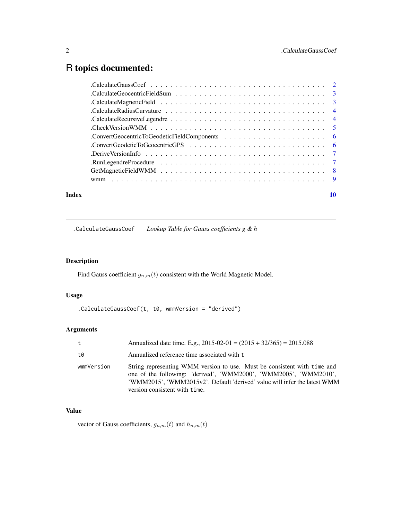# <span id="page-1-0"></span>R topics documented:

| Index |                                                                                                                    | 10 |
|-------|--------------------------------------------------------------------------------------------------------------------|----|
|       |                                                                                                                    |    |
|       |                                                                                                                    |    |
|       |                                                                                                                    |    |
|       | . Derive Version Info $\ldots \ldots \ldots \ldots \ldots \ldots \ldots \ldots \ldots \ldots \ldots \ldots$        |    |
|       |                                                                                                                    |    |
|       |                                                                                                                    |    |
|       | . Check Version WMM $\ldots \ldots \ldots \ldots \ldots \ldots \ldots \ldots \ldots \ldots \ldots \ldots \ldots 5$ |    |
|       |                                                                                                                    |    |
|       | . Calculate Radius Curvature $\ldots \ldots \ldots \ldots \ldots \ldots \ldots \ldots \ldots \ldots \ldots \ldots$ |    |
|       |                                                                                                                    |    |
|       |                                                                                                                    |    |
|       |                                                                                                                    |    |

.CalculateGaussCoef *Lookup Table for Gauss coefficients g & h*

# Description

Find Gauss coefficient  $g_{n,m}(t)$  consistent with the World Magnetic Model.

#### Usage

```
.CalculateGaussCoef(t, t0, wmmVersion = "derived")
```
#### Arguments

| t          | Annualized date time. E.g., $2015-02-01 = (2015 + 32/365) = 2015.088$                                                                                                                                                                                       |
|------------|-------------------------------------------------------------------------------------------------------------------------------------------------------------------------------------------------------------------------------------------------------------|
| t0         | Annualized reference time associated with t                                                                                                                                                                                                                 |
| wmmVersion | String representing WMM version to use. Must be consistent with time and<br>one of the following: 'derived', 'WMM2000', 'WMM2005', 'WMM2010',<br>'WMM2015', 'WMM2015v2'. Default 'derived' value will infer the latest WMM<br>version consistent with time. |

# Value

vector of Gauss coefficients,  $g_{n,m}(t)$  and  $h_{n,m}(t)$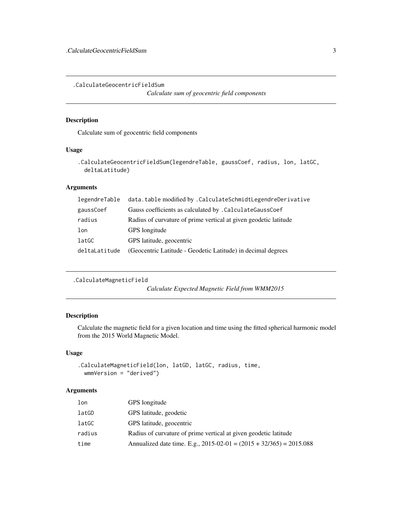<span id="page-2-0"></span>.CalculateGeocentricFieldSum

*Calculate sum of geocentric field components*

#### Description

Calculate sum of geocentric field components

#### Usage

```
.CalculateGeocentricFieldSum(legendreTable, gaussCoef, radius, lon, latGC,
 deltaLatitude)
```
## Arguments

| data.table modified by .CalculateSchmidtLegendreDerivative       |
|------------------------------------------------------------------|
| Gauss coefficients as calculated by . Calculate Gauss Coef       |
| Radius of curvature of prime vertical at given geodetic latitude |
| GPS longitude                                                    |
| GPS latitude, geocentric                                         |
| (Geocentric Latitude - Geodetic Latitude) in decimal degrees     |
|                                                                  |

```
.CalculateMagneticField
```
*Calculate Expected Magnetic Field from WMM2015*

## Description

Calculate the magnetic field for a given location and time using the fitted spherical harmonic model from the 2015 World Magnetic Model.

#### Usage

```
.CalculateMagneticField(lon, latGD, latGC, radius, time,
 wmmVersion = "derived")
```
#### Arguments

| lon    | GPS longitude                                                         |
|--------|-----------------------------------------------------------------------|
| latGD  | GPS latitude, geodetic                                                |
| latGC  | GPS latitude, geocentric                                              |
| radius | Radius of curvature of prime vertical at given geodetic latitude      |
| time   | Annualized date time. E.g., $2015-02-01 = (2015 + 32/365) = 2015.088$ |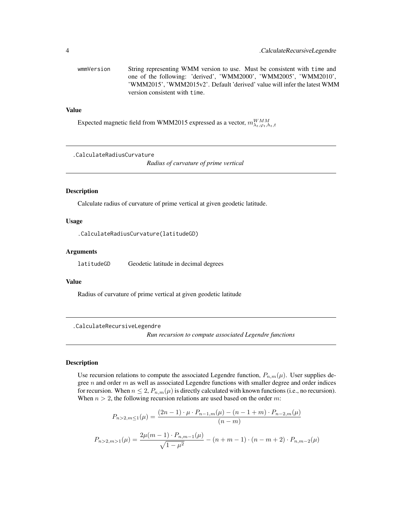<span id="page-3-0"></span>wmmVersion String representing WMM version to use. Must be consistent with time and one of the following: 'derived', 'WMM2000', 'WMM2005', 'WMM2010', 'WMM2015', 'WMM2015v2'. Default 'derived' value will infer the latest WMM version consistent with time.

#### Value

Expected magnetic field from WMM2015 expressed as a vector,  $m^{WM}_{\lambda_t,\varphi_t,h_t,t}$ 

.CalculateRadiusCurvature

*Radius of curvature of prime vertical*

#### Description

Calculate radius of curvature of prime vertical at given geodetic latitude.

#### Usage

.CalculateRadiusCurvature(latitudeGD)

#### Arguments

latitudeGD Geodetic latitude in decimal degrees

#### Value

Radius of curvature of prime vertical at given geodetic latitude

.CalculateRecursiveLegendre

*Run recursion to compute associated Legendre functions*

#### Description

Use recursion relations to compute the associated Legendre function,  $P_{n,m}(\mu)$ . User supplies degree  $n$  and order  $m$  as well as associated Legendre functions with smaller degree and order indices for recursion. When  $n \leq 2$ ,  $P_{n,m}(\mu)$  is directly calculated with known functions (i.e., no recursion). When  $n > 2$ , the following recursion relations are used based on the order m:

$$
P_{n>2,m\leq 1}(\mu) = \frac{(2n-1)\cdot \mu \cdot P_{n-1,m}(\mu) - (n-1+m)\cdot P_{n-2,m}(\mu)}{(n-m)}
$$

$$
P_{n>2,m>1}(\mu) = \frac{2\mu(m-1)\cdot P_{n,m-1}(\mu)}{\sqrt{1-\mu^2}} - (n+m-1)\cdot (n-m+2)\cdot P_{n,m-2}(\mu)
$$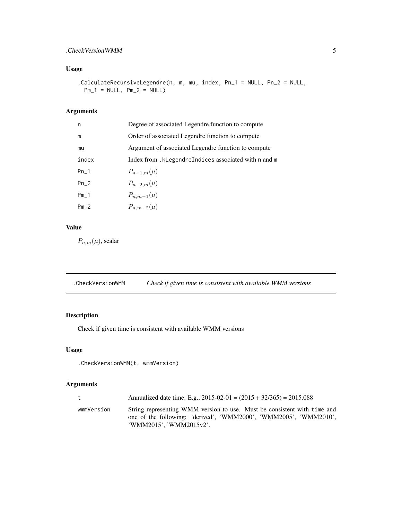# <span id="page-4-0"></span>.CheckVersionWMM 5

# Usage

.CalculateRecursiveLegendre(n, m, mu, index, Pn\_1 = NULL, Pn\_2 = NULL,  $Pm_1 = NULL, Pm_2 = NULL$ 

#### Arguments

| n      | Degree of associated Legendre function to compute   |
|--------|-----------------------------------------------------|
| m      | Order of associated Legendre function to compute    |
| mu     | Argument of associated Legendre function to compute |
| index  | Index from.kLegendreIndices associated with n and m |
| $Pn-1$ | $P_{n-1,m}(\mu)$                                    |
| $Pn_2$ | $P_{n-2,m}(\mu)$                                    |
| $Pm_1$ | $P_{n,m-1}(\mu)$                                    |
| $Pm_2$ | $P_{n,m-2}(\mu)$                                    |

## Value

 $P_{n,m}(\mu)$ , scalar

| .CheckVersionWMM | Check if given time is consistent with available WMM versions |  |
|------------------|---------------------------------------------------------------|--|
|------------------|---------------------------------------------------------------|--|

# Description

Check if given time is consistent with available WMM versions

# Usage

```
.CheckVersionWMM(t, wmmVersion)
```
#### Arguments

| t          | Annualized date time. E.g., $2015-02-01 = (2015 + 32/365) = 2015.088$                                                                                                    |
|------------|--------------------------------------------------------------------------------------------------------------------------------------------------------------------------|
| wmmVersion | String representing WMM version to use. Must be consistent with time and<br>one of the following: 'derived', 'WMM2000', 'WMM2005', 'WMM2010',<br>'WMM2015', 'WMM2015v2'. |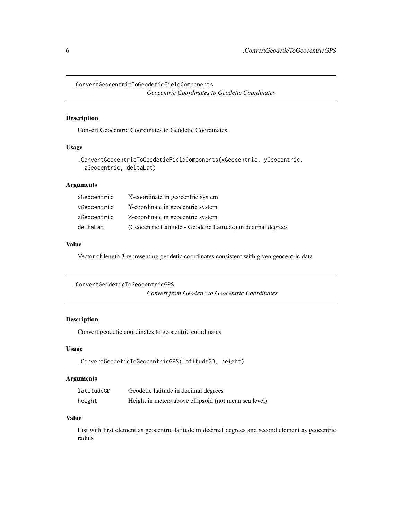<span id="page-5-0"></span>.ConvertGeocentricToGeodeticFieldComponents *Geocentric Coordinates to Geodetic Coordinates*

#### Description

Convert Geocentric Coordinates to Geodetic Coordinates.

#### Usage

```
.ConvertGeocentricToGeodeticFieldComponents(xGeocentric, yGeocentric,
 zGeocentric, deltaLat)
```
#### Arguments

| xGeocentric | X-coordinate in geocentric system                            |
|-------------|--------------------------------------------------------------|
| yGeocentric | Y-coordinate in geocentric system                            |
| zGeocentric | Z-coordinate in geocentric system                            |
| deltaLat    | (Geocentric Latitude - Geodetic Latitude) in decimal degrees |

#### Value

Vector of length 3 representing geodetic coordinates consistent with given geocentric data

```
.ConvertGeodeticToGeocentricGPS
                        Convert from Geodetic to Geocentric Coordinates
```
#### Description

Convert geodetic coordinates to geocentric coordinates

## Usage

```
.ConvertGeodeticToGeocentricGPS(latitudeGD, height)
```
# Arguments

| latitudeGD | Geodetic latitude in decimal degrees                  |
|------------|-------------------------------------------------------|
| height     | Height in meters above ellipsoid (not mean sea level) |

# Value

List with first element as geocentric latitude in decimal degrees and second element as geocentric radius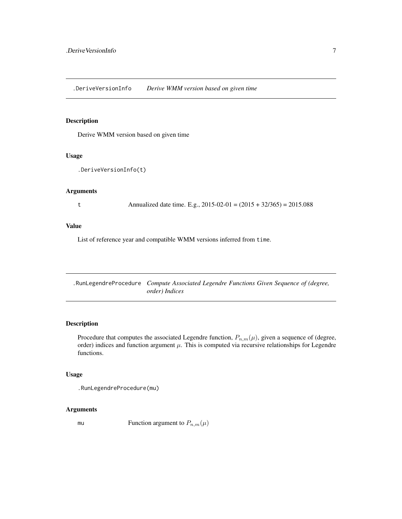<span id="page-6-0"></span>.DeriveVersionInfo *Derive WMM version based on given time*

#### Description

Derive WMM version based on given time

#### Usage

```
.DeriveVersionInfo(t)
```
#### Arguments

t Annualized date time. E.g.,  $2015-02-01 = (2015 + 32/365) = 2015.088$ 

#### Value

List of reference year and compatible WMM versions inferred from time.

.RunLegendreProcedure *Compute Associated Legendre Functions Given Sequence of (degree, order) Indices*

#### Description

Procedure that computes the associated Legendre function,  $P_{n,m}(\mu)$ , given a sequence of (degree, order) indices and function argument  $\mu$ . This is computed via recursive relationships for Legendre functions.

#### Usage

.RunLegendreProcedure(mu)

#### Arguments

mu Function argument to  $P_{n,m}(\mu)$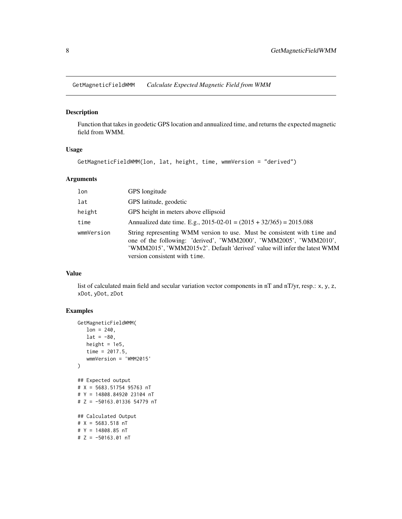<span id="page-7-1"></span><span id="page-7-0"></span>GetMagneticFieldWMM *Calculate Expected Magnetic Field from WMM*

#### Description

Function that takes in geodetic GPS location and annualized time, and returns the expected magnetic field from WMM.

#### Usage

GetMagneticFieldWMM(lon, lat, height, time, wmmVersion = "derived")

#### Arguments

| lon        | GPS longitude                                                                                                                                                                                                                                               |
|------------|-------------------------------------------------------------------------------------------------------------------------------------------------------------------------------------------------------------------------------------------------------------|
| lat        | GPS latitude, geodetic                                                                                                                                                                                                                                      |
| height     | GPS height in meters above ellipsoid                                                                                                                                                                                                                        |
| time       | Annualized date time. E.g., $2015-02-01 = (2015 + 32/365) = 2015.088$                                                                                                                                                                                       |
| wmmVersion | String representing WMM version to use. Must be consistent with time and<br>one of the following: 'derived', 'WMM2000', 'WMM2005', 'WMM2010',<br>'WMM2015', 'WMM2015v2'. Default 'derived' value will infer the latest WMM<br>version consistent with time. |

#### Value

list of calculated main field and secular variation vector components in nT and nT/yr, resp.: x, y, z, xDot, yDot, zDot

# Examples

```
GetMagneticFieldWMM(
  lon = 240,lat = -80,height = 1e5,
  time = 2017.5,
  wmmVersion = 'WMM2015'
)
## Expected output
# X = 5683.51754 95763 nT
# Y = 14808.84920 23104 nT
# Z = -50163.01336 54779 nT
## Calculated Output
# X = 5683.518 nT
# Y = 14808.85 nT
# Z = -50163.01 nT
```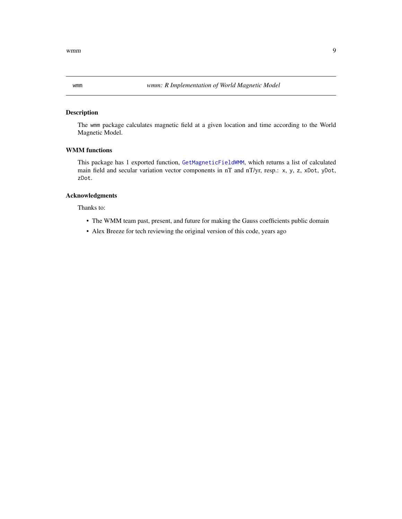#### Description

The wmm package calculates magnetic field at a given location and time according to the World Magnetic Model.

#### WMM functions

This package has 1 exported function, [GetMagneticFieldWMM](#page-7-1), which returns a list of calculated main field and secular variation vector components in nT and nT/yr, resp.: x, y, z, xDot, yDot, zDot.

#### Acknowledgments

Thanks to:

- The WMM team past, present, and future for making the Gauss coefficients public domain
- Alex Breeze for tech reviewing the original version of this code, years ago

<span id="page-8-0"></span>